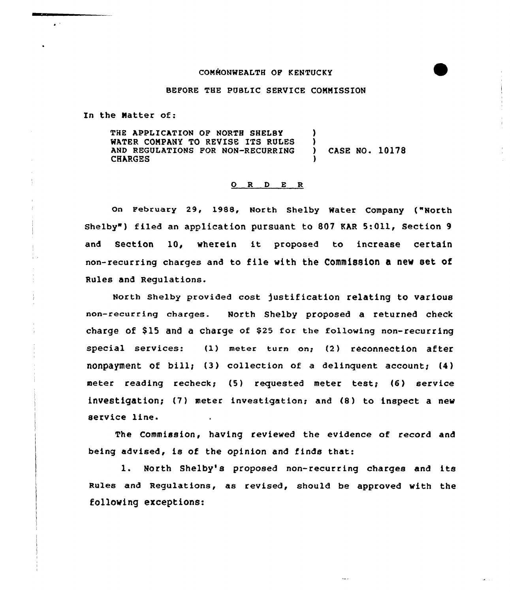## COMMONWEALTH OF KENTUCKY

#### BEFORE THE PUBLIC SERUICE COMMISSION

In the Natter of:

THE APPLICATION OF NORTH SHELBY WATER COMPANY TO REVISE ITS RULES AND REGULATIONS FOR NON-RECURRING CHARGES )  $\left\{ \right\}$ ) CASE NO. 10178 )

#### 0 <sup>R</sup> <sup>D</sup> E <sup>R</sup>

on February 29, 1988, North Shelby Water Company {"North Shelby") filed an application pursuant to 807 KAR 5:011, Section 9 and Section 10, wherein it proposed to increase certain non-recurring charges and to file with the Commission a new set of Rules and Regulations.

North Shelby provided cost justification relating to various non-recurring charges. North Shelby proposed a returned check charge of \$15 and a charge of \$25 for the following non-recurring special services: (1) meter turn on: (2) reconnection after nonpayment of bill;  $(3)$  collection of a delinquent account;  $(4)$ meter reading recheck; (5) requested meter test; (6) service investigation; (7) meter investigation; and (8) to inspect a new service line.

The Commission, having reviewed the evidence of record and being advised, is of the opinion and finds that:

1. North Shelby's proposed non-recurring charges and its Rules and Regulations, as revised, should be approved with the following exceptions: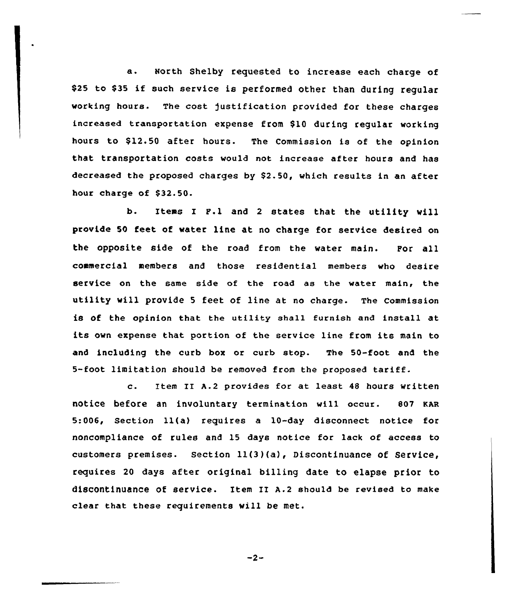a. North Shelby requested to increase each charge of \$<sup>25</sup> to \$<sup>35</sup> if such service is performed other than during regular vorking hours. The cost )ustification provided for these charges increased transportation expense from \$10 during regular working hours to \$12.50 after hours. The Commission is of the opinion that transportation costs vould not increase after hours and has decreased the proposed charges by \$2.50, which results in an after hour charge of \$32.50.

b. Items I F.<sup>1</sup> and <sup>2</sup> states that the utility will provide 50 feet of water line at no charge for service desired on the opposite side of the road from the water main. For all commercial members and those residential members who desire service on the same side of the road as the water main, the utility vill provide <sup>5</sup> feet of line at no charge. The Commission is of the opinion that the utility shall furnish and insta11 at its own expense that portion of the service line from its main to and including the curb box or curb stop. The 50-foot and the 5-foot limitation should be removed from the proposed tariff.

c. Item II A.2 provides for at least 48 hours written notice before an involuntary termination wi11 occur. 807 KAR 5:006, Section ll(a) requires a 10-day disconnect notice for noncompliance of rules and 15 days notice for lack of access to customers premises. section ll(3)(a), Discontinuance of service, requires 20 days after original billing date to elapse prior to discontinuance of service. Item II A.2 should be revised to make clear that these requirements will be met.

 $-2-$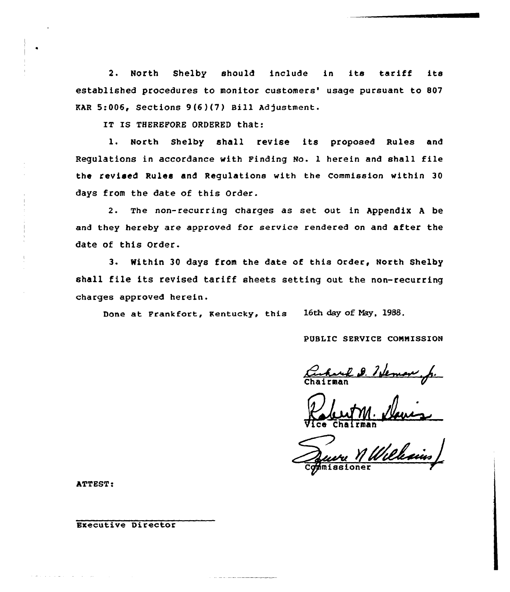2. North Shelby should include in its tariff its established procedures to monitor customers' usage pursuant to 807  $KAR$  5:006, Sections 9(6)(7) Bill Adjustment.

IT IS THEREFORE ORDERED that:

l. North Shelby shall revise its proposed Rules and Regulations in accordance with Finding No. 1 herein and shall file the revised Rules and Regulations with the Commission within 30 days from the date of this Order.

2. The non-recurring charges as set out in Appendix <sup>A</sup> be and they hereby are approved for service rendered on and after the date of this Order.

3- Within 30 days from the date of this Order, North Shelby shall file its revised tariff sheets setting out the non-recurring charges approved herein.

Done at Frankfort, Kentucky, this 16th day of Nay, 1988.

PUBLIC SERVICE CONNISSION

Cacharel D. 7 de

Vice Robert Chairma lemon f

Commissione

ATTEST:

Executive Director